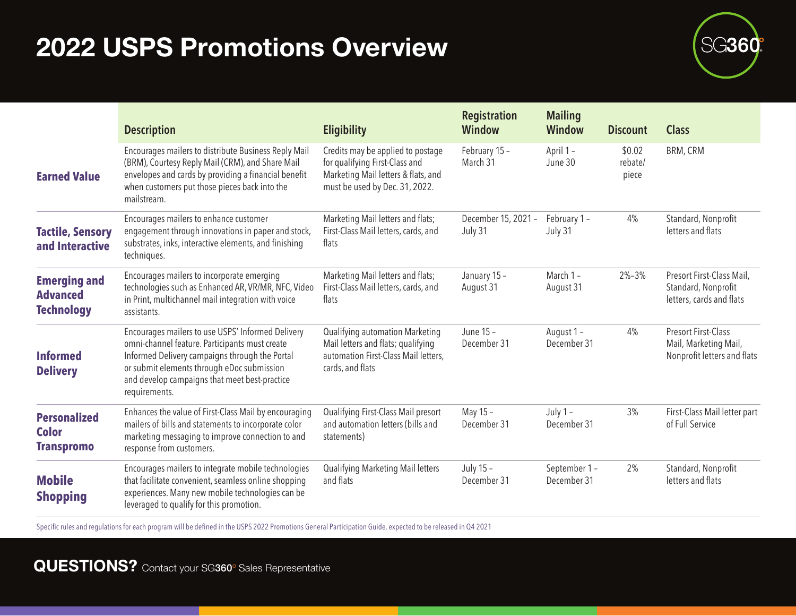## **2022 USPS Promotions Overview 8022 USPS Promotions Overview**



|                                                             | <b>Description</b>                                                                                                                                                                                                                                                    | <b>Eligibility</b>                                                                                                                           | <b>Registration</b><br><b>Window</b> | <b>Mailing</b><br><b>Window</b> | <b>Discount</b>            | <b>Class</b>                                                                       |
|-------------------------------------------------------------|-----------------------------------------------------------------------------------------------------------------------------------------------------------------------------------------------------------------------------------------------------------------------|----------------------------------------------------------------------------------------------------------------------------------------------|--------------------------------------|---------------------------------|----------------------------|------------------------------------------------------------------------------------|
| <b>Earned Value</b>                                         | Encourages mailers to distribute Business Reply Mail<br>(BRM), Courtesy Reply Mail (CRM), and Share Mail<br>envelopes and cards by providing a financial benefit<br>when customers put those pieces back into the<br>mailstream.                                      | Credits may be applied to postage<br>for qualifying First-Class and<br>Marketing Mail letters & flats, and<br>must be used by Dec. 31, 2022. | February 15 -<br>March 31            | April 1 -<br>June 30            | \$0.02<br>rebate/<br>piece | BRM, CRM                                                                           |
| <b>Tactile, Sensory</b><br>and Interactive                  | Encourages mailers to enhance customer<br>engagement through innovations in paper and stock,<br>substrates, inks, interactive elements, and finishing<br>techniques.                                                                                                  | Marketing Mail letters and flats;<br>First-Class Mail letters, cards, and<br>flats                                                           | December 15, 2021 -<br>July 31       | February 1-<br>July 31          | 4%                         | Standard, Nonprofit<br>letters and flats                                           |
| <b>Emerging and</b><br><b>Advanced</b><br><b>Technology</b> | Encourages mailers to incorporate emerging<br>technologies such as Enhanced AR, VR/MR, NFC, Video<br>in Print, multichannel mail integration with voice<br>assistants.                                                                                                | Marketing Mail letters and flats;<br>First-Class Mail letters, cards, and<br>flats                                                           | January 15 -<br>August 31            | March 1-<br>August 31           | $2\% - 3\%$                | Presort First-Class Mail,<br>Standard, Nonprofit<br>letters, cards and flats       |
| <b>Informed</b><br><b>Delivery</b>                          | Encourages mailers to use USPS' Informed Delivery<br>omni-channel feature. Participants must create<br>Informed Delivery campaigns through the Portal<br>or submit elements through eDoc submission<br>and develop campaigns that meet best-practice<br>requirements. | Qualifying automation Marketing<br>Mail letters and flats; qualifying<br>automation First-Class Mail letters,<br>cards, and flats            | June 15 -<br>December 31             | August 1 -<br>December 31       | 4%                         | <b>Presort First-Class</b><br>Mail, Marketing Mail,<br>Nonprofit letters and flats |
| <b>Personalized</b><br><b>Color</b><br><b>Transpromo</b>    | Enhances the value of First-Class Mail by encouraging<br>mailers of bills and statements to incorporate color<br>marketing messaging to improve connection to and<br>response from customers.                                                                         | Qualifying First-Class Mail presort<br>and automation letters (bills and<br>statements)                                                      | May 15 -<br>December 31              | July $1 -$<br>December 31       | 3%                         | First-Class Mail letter part<br>of Full Service                                    |
| <b>Mobile</b><br><b>Shopping</b>                            | Encourages mailers to integrate mobile technologies<br>that facilitate convenient, seamless online shopping<br>experiences. Many new mobile technologies can be<br>leveraged to qualify for this promotion.                                                           | Qualifying Marketing Mail letters<br>and flats                                                                                               | July 15 -<br>December 31             | September 1-<br>December 31     | 2%                         | Standard, Nonprofit<br>letters and flats                                           |

Specific rules and regulations for each program will be defined in the USPS 2022 Promotions General Participation Guide, expected to be released in Q4 2021